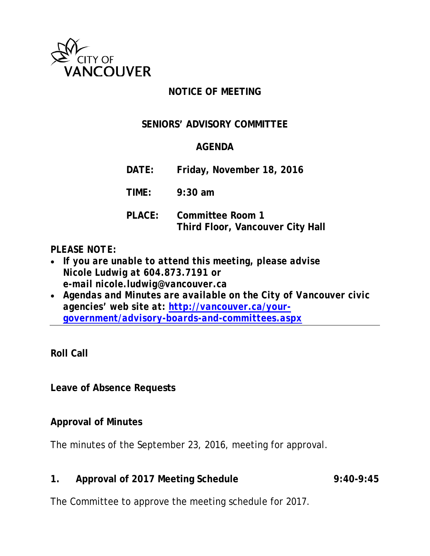

### **NOTICE OF MEETING**

## **SENIORS' ADVISORY COMMITTEE**

# **AGENDA**

**DATE: Friday, November 18, 2016**

**TIME: 9:30 am**

**PLACE: Committee Room 1 Third Floor, Vancouver City Hall**

### *PLEASE NOTE:*

- *If you are unable to attend this meeting, please advise Nicole Ludwig at 604.873.7191 or e-mail nicole.ludwig@vancouver.ca*
- *Agendas and Minutes are available on the City of Vancouver civic agencies' web site at: [http://vancouver.ca/your](http://vancouver.ca/your-government/advisory-boards-and-committees.aspx)[government/advisory-boards-and-committees.aspx](http://vancouver.ca/your-government/advisory-boards-and-committees.aspx)*

**Roll Call**

**Leave of Absence Requests**

### **Approval of Minutes**

The minutes of the September 23, 2016, meeting for approval.

**1. Approval of 2017 Meeting Schedule 9:40-9:45**

The Committee to approve the meeting schedule for 2017.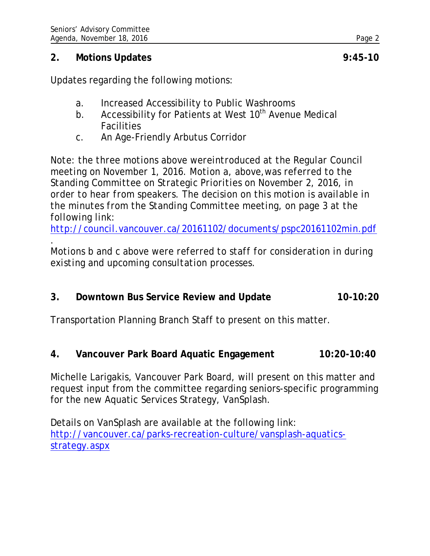#### **2. Motions Updates 9:45-10**

Updates regarding the following motions:

- a. Increased Accessibility to Public Washrooms
- b. Accessibility for Patients at West 10<sup>th</sup> Avenue Medical **Facilities**
- c. An Age-Friendly Arbutus Corridor

*Note: the three motions above wereintroduced at the Regular Council meeting on November 1, 2016. Motion a, above,was referred to the Standing Committee on Strategic Priorities on November 2, 2016, in order to hear from speakers. The decision on this motion is available in the minutes from the Standing Committee meeting, on page 3 at the following link:* 

*<http://council.vancouver.ca/20161102/documents/pspc20161102min.pdf>*

*. Motions b and c above were referred to staff for consideration in during existing and upcoming consultation processes.*

**3. Downtown Bus Service Review and Update 10-10:20**

Transportation Planning Branch Staff to present on this matter.

**4. Vancouver Park Board Aquatic Engagement 10:20-10:40**

Michelle Larigakis, Vancouver Park Board, will present on this matter and request input from the committee regarding seniors-specific programming for the new Aquatic Services Strategy, VanSplash.

Details on VanSplash are available at the following link: [http://vancouver.ca/parks-recreation-culture/vansplash-aquatics](http://vancouver.ca/parks-recreation-culture/vansplash-aquatics-strategy.aspx)[strategy.aspx](http://vancouver.ca/parks-recreation-culture/vansplash-aquatics-strategy.aspx)